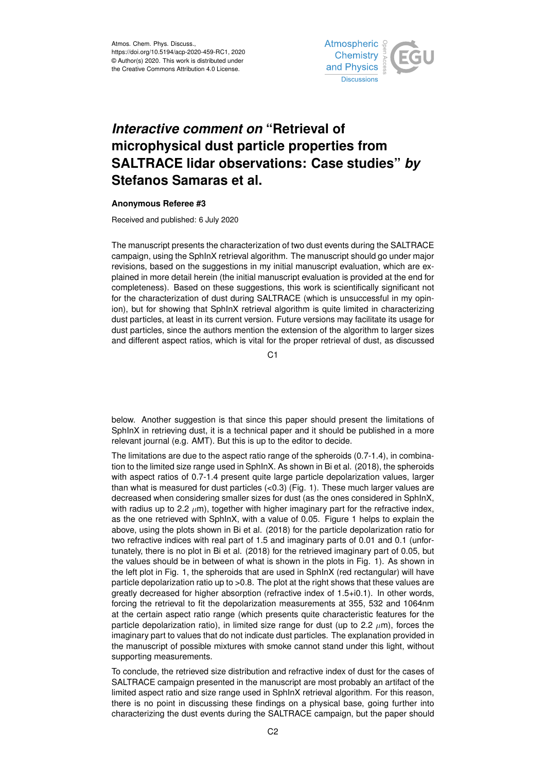

# *Interactive comment on* **"Retrieval of microphysical dust particle properties from SALTRACE lidar observations: Case studies"** *by* **Stefanos Samaras et al.**

### **Anonymous Referee #3**

Received and published: 6 July 2020

The manuscript presents the characterization of two dust events during the SALTRACE campaign, using the SphInX retrieval algorithm. The manuscript should go under major revisions, based on the suggestions in my initial manuscript evaluation, which are explained in more detail herein (the initial manuscript evaluation is provided at the end for completeness). Based on these suggestions, this work is scientifically significant not for the characterization of dust during SALTRACE (which is unsuccessful in my opinion), but for showing that SphInX retrieval algorithm is quite limited in characterizing dust particles, at least in its current version. Future versions may facilitate its usage for dust particles, since the authors mention the extension of the algorithm to larger sizes and different aspect ratios, which is vital for the proper retrieval of dust, as discussed

C1

below. Another suggestion is that since this paper should present the limitations of SphInX in retrieving dust, it is a technical paper and it should be published in a more relevant journal (e.g. AMT). But this is up to the editor to decide.

The limitations are due to the aspect ratio range of the spheroids (0.7-1.4), in combination to the limited size range used in SphInX. As shown in Bi et al. (2018), the spheroids with aspect ratios of 0.7-1.4 present quite large particle depolarization values, larger than what is measured for dust particles (<0.3) (Fig. 1). These much larger values are decreased when considering smaller sizes for dust (as the ones considered in SphInX, with radius up to 2.2  $\mu$ m), together with higher imaginary part for the refractive index, as the one retrieved with SphInX, with a value of 0.05. Figure 1 helps to explain the above, using the plots shown in Bi et al. (2018) for the particle depolarization ratio for two refractive indices with real part of 1.5 and imaginary parts of 0.01 and 0.1 (unfortunately, there is no plot in Bi et al. (2018) for the retrieved imaginary part of 0.05, but the values should be in between of what is shown in the plots in Fig. 1). As shown in the left plot in Fig. 1, the spheroids that are used in SphInX (red rectangular) will have particle depolarization ratio up to >0.8. The plot at the right shows that these values are greatly decreased for higher absorption (refractive index of 1.5+i0.1). In other words, forcing the retrieval to fit the depolarization measurements at 355, 532 and 1064nm at the certain aspect ratio range (which presents quite characteristic features for the particle depolarization ratio), in limited size range for dust (up to 2.2  $\mu$ m), forces the imaginary part to values that do not indicate dust particles. The explanation provided in the manuscript of possible mixtures with smoke cannot stand under this light, without supporting measurements.

To conclude, the retrieved size distribution and refractive index of dust for the cases of SALTRACE campaign presented in the manuscript are most probably an artifact of the limited aspect ratio and size range used in SphInX retrieval algorithm. For this reason, there is no point in discussing these findings on a physical base, going further into characterizing the dust events during the SALTRACE campaign, but the paper should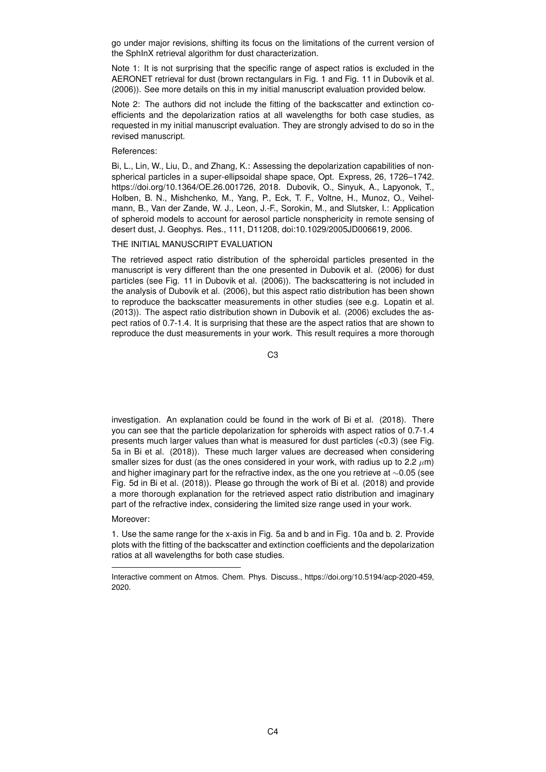go under major revisions, shifting its focus on the limitations of the current version of the SphInX retrieval algorithm for dust characterization.

Note 1: It is not surprising that the specific range of aspect ratios is excluded in the AERONET retrieval for dust (brown rectangulars in Fig. 1 and Fig. 11 in Dubovik et al. (2006)). See more details on this in my initial manuscript evaluation provided below.

Note 2: The authors did not include the fitting of the backscatter and extinction coefficients and the depolarization ratios at all wavelengths for both case studies, as requested in my initial manuscript evaluation. They are strongly advised to do so in the revised manuscript.

## References:

Bi, L., Lin, W., Liu, D., and Zhang, K.: Assessing the depolarization capabilities of nonspherical particles in a super-ellipsoidal shape space, Opt. Express, 26, 1726–1742. https://doi.org/10.1364/OE.26.001726, 2018. Dubovik, O., Sinyuk, A., Lapyonok, T., Holben, B. N., Mishchenko, M., Yang, P., Eck, T. F., Voltne, H., Munoz, O., Veihelmann, B., Van der Zande, W. J., Leon, J.-F., Sorokin, M., and Slutsker, I.: Application of spheroid models to account for aerosol particle nonsphericity in remote sensing of desert dust, J. Geophys. Res., 111, D11208, doi:10.1029/2005JD006619, 2006.

# THE INITIAL MANUSCRIPT EVALUATION

The retrieved aspect ratio distribution of the spheroidal particles presented in the manuscript is very different than the one presented in Dubovik et al. (2006) for dust particles (see Fig. 11 in Dubovik et al. (2006)). The backscattering is not included in the analysis of Dubovik et al. (2006), but this aspect ratio distribution has been shown to reproduce the backscatter measurements in other studies (see e.g. Lopatin et al. (2013)). The aspect ratio distribution shown in Dubovik et al. (2006) excludes the aspect ratios of 0.7-1.4. It is surprising that these are the aspect ratios that are shown to reproduce the dust measurements in your work. This result requires a more thorough

C3

investigation. An explanation could be found in the work of Bi et al. (2018). There you can see that the particle depolarization for spheroids with aspect ratios of 0.7-1.4 presents much larger values than what is measured for dust particles (<0.3) (see Fig. 5a in Bi et al. (2018)). These much larger values are decreased when considering smaller sizes for dust (as the ones considered in your work, with radius up to 2.2  $\mu$ m) and higher imaginary part for the refractive index, as the one you retrieve at ∼0.05 (see Fig. 5d in Bi et al. (2018)). Please go through the work of Bi et al. (2018) and provide a more thorough explanation for the retrieved aspect ratio distribution and imaginary part of the refractive index, considering the limited size range used in your work.

### Moreover:

1. Use the same range for the x-axis in Fig. 5a and b and in Fig. 10a and b. 2. Provide plots with the fitting of the backscatter and extinction coefficients and the depolarization ratios at all wavelengths for both case studies.

Interactive comment on Atmos. Chem. Phys. Discuss., https://doi.org/10.5194/acp-2020-459, 2020.